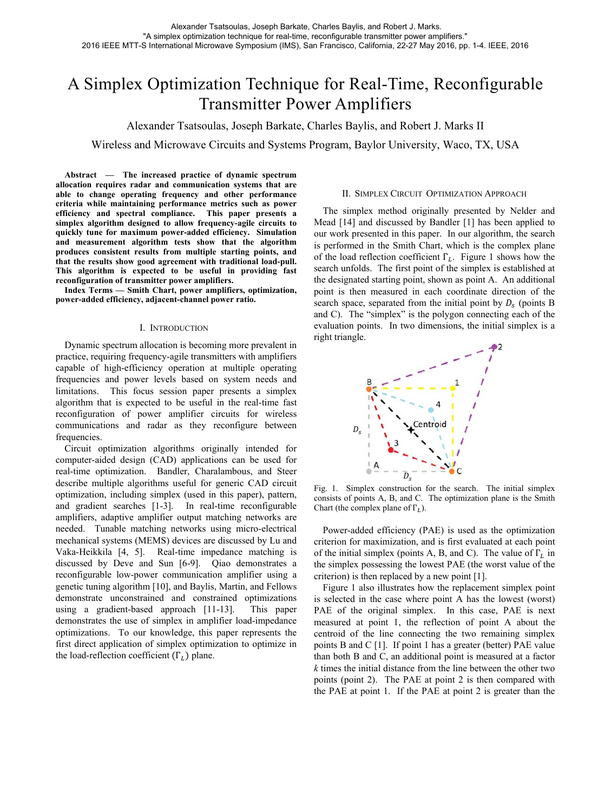# A Simplex Optimization Technique for Real-Time, Reconfigurable Transmitter Power Amplifiers

Alexander Tsatsoulas, Joseph Barkate, Charles Baylis, and Robert J. Marks II

Wireless and Microwave Circuits and Systems Program, Baylor University, Waco, TX, USA

**Abstract — The increased practice of dynamic spectrum allocation requires radar and communication systems that are able to change operating frequency and other performance criteria while maintaining performance metrics such as power efficiency and spectral compliance. This paper presents a simplex algorithm designed to allow frequency-agile circuits to quickly tune for maximum power-added efficiency. Simulation and measurement algorithm tests show that the algorithm produces consistent results from multiple starting points, and that the results show good agreement with traditional load-pull. This algorithm is expected to be useful in providing fast reconfiguration of transmitter power amplifiers.** 

**Index Terms — Smith Chart, power amplifiers, optimization, power-added efficiency, adjacent-channel power ratio.** 

## I. INTRODUCTION

Dynamic spectrum allocation is becoming more prevalent in practice, requiring frequency-agile transmitters with amplifiers capable of high-efficiency operation at multiple operating frequencies and power levels based on system needs and limitations. This focus session paper presents a simplex algorithm that is expected to be useful in the real-time fast reconfiguration of power amplifier circuits for wireless communications and radar as they reconfigure between frequencies.

Circuit optimization algorithms originally intended for computer-aided design (CAD) applications can be used for real-time optimization. Bandler, Charalambous, and Steer describe multiple algorithms useful for generic CAD circuit optimization, including simplex (used in this paper), pattern, and gradient searches [1-3]. In real-time reconfigurable amplifiers, adaptive amplifier output matching networks are needed. Tunable matching networks using micro-electrical mechanical systems (MEMS) devices are discussed by Lu and Vaka-Heikkila [4, 5]. Real-time impedance matching is discussed by Deve and Sun [6-9]. Qiao demonstrates a reconfigurable low-power communication amplifier using a genetic tuning algorithm [10], and Baylis, Martin, and Fellows demonstrate unconstrained and constrained optimizations using a gradient-based approach [11-13]. This paper demonstrates the use of simplex in amplifier load-impedance optimizations. To our knowledge, this paper represents the first direct application of simplex optimization to optimize in the load-reflection coefficient  $(\Gamma_L)$  plane.

# II. SIMPLEX CIRCUIT OPTIMIZATION APPROACH

The simplex method originally presented by Nelder and Mead [14] and discussed by Bandler [1] has been applied to our work presented in this paper. In our algorithm, the search is performed in the Smith Chart, which is the complex plane of the load reflection coefficient  $\Gamma_L$ . Figure 1 shows how the search unfolds. The first point of the simplex is established at the designated starting point, shown as point A. An additional point is then measured in each coordinate direction of the search space, separated from the initial point by  $D_s$  (points B and C). The "simplex" is the polygon connecting each of the evaluation points. In two dimensions, the initial simplex is a right triangle.



Fig. 1. Simplex construction for the search. The initial simplex consists of points A, B, and C. The optimization plane is the Smith Chart (the complex plane of  $\Gamma_L$ ).

Power-added efficiency (PAE) is used as the optimization criterion for maximization, and is first evaluated at each point of the initial simplex (points A, B, and C). The value of  $\Gamma_L$  in the simplex possessing the lowest PAE (the worst value of the criterion) is then replaced by a new point [1].

Figure 1 also illustrates how the replacement simplex point is selected in the case where point A has the lowest (worst) PAE of the original simplex. In this case, PAE is next measured at point 1, the reflection of point A about the centroid of the line connecting the two remaining simplex points B and C [1]. If point 1 has a greater (better) PAE value than both B and C, an additional point is measured at a factor *k* times the initial distance from the line between the other two points (point 2). The PAE at point 2 is then compared with the PAE at point 1. If the PAE at point 2 is greater than the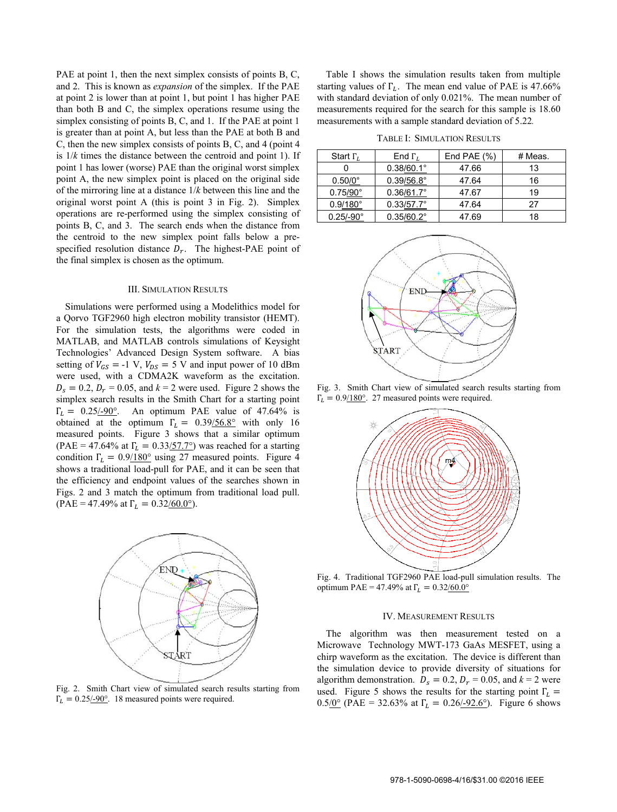PAE at point 1, then the next simplex consists of points B, C, and 2. This is known as *expansion* of the simplex. If the PAE at point 2 is lower than at point 1, but point 1 has higher PAE than both B and C, the simplex operations resume using the simplex consisting of points B, C, and 1. If the PAE at point 1 is greater than at point A, but less than the PAE at both B and C, then the new simplex consists of points B, C, and 4 (point 4 is 1/*k* times the distance between the centroid and point 1). If point 1 has lower (worse) PAE than the original worst simplex point A, the new simplex point is placed on the original side of the mirroring line at a distance 1/*k* between this line and the original worst point A (this is point 3 in Fig. 2). Simplex operations are re-performed using the simplex consisting of points B, C, and 3. The search ends when the distance from the centroid to the new simplex point falls below a prespecified resolution distance  $D_r$ . The highest-PAE point of the final simplex is chosen as the optimum.

#### III. SIMULATION RESULTS

Simulations were performed using a Modelithics model for a Qorvo TGF2960 high electron mobility transistor (HEMT). For the simulation tests, the algorithms were coded in MATLAB, and MATLAB controls simulations of Keysight Technologies' Advanced Design System software. A bias setting of  $V_{GS} = -1$  V,  $V_{DS} = 5$  V and input power of 10 dBm were used, with a CDMA2K waveform as the excitation.  $D_s = 0.2$ ,  $D_r = 0.05$ , and  $k = 2$  were used. Figure 2 shows the simplex search results in the Smith Chart for a starting point  $\Gamma_L = 0.25/0.90$ °. An optimum PAE value of 47.64% is obtained at the optimum  $\Gamma_L = 0.39/56.8^\circ$  with only 16 measured points. Figure 3 shows that a similar optimum (PAE = 47.64% at  $\Gamma_L = 0.33/57.7^{\circ}$ ) was reached for a starting condition  $\Gamma_L = 0.9/180^\circ$  using 27 measured points. Figure 4 shows a traditional load-pull for PAE, and it can be seen that the efficiency and endpoint values of the searches shown in Figs. 2 and 3 match the optimum from traditional load pull. (PAE = 47.49% at  $\Gamma_L = 0.32/60.0^{\circ}$ ).



Fig. 2. Smith Chart view of simulated search results starting from  $\Gamma_L = 0.25/100$ <sup>o</sup>. 18 measured points were required.

Table I shows the simulation results taken from multiple starting values of  $\Gamma_L$ . The mean end value of PAE is 47.66% with standard deviation of only 0.021%. The mean number of measurements required for the search for this sample is 18.60 measurements with a sample standard deviation of 5.22*.* 

|  | TABLE I: SIMULATION RESULTS |  |
|--|-----------------------------|--|
|--|-----------------------------|--|

| Start $\Gamma_L$   | End $\Gamma_L$      | End PAE $(\% )$ | # Meas. |
|--------------------|---------------------|-----------------|---------|
|                    | $0.38/60.1^{\circ}$ | 47.66           | 13      |
| $0.50/0^{\circ}$   | $0.39/56.8^{\circ}$ | 47.64           | 16      |
| $0.75/90^{\circ}$  | $0.36/61.7^{\circ}$ | 47.67           | 19      |
| $0.9/180^{\circ}$  | $0.33/57.7^{\circ}$ | 47.64           | 27      |
| $0.25/-90^{\circ}$ | $0.35/60.2^{\circ}$ | 47.69           | 18      |



Fig. 3. Smith Chart view of simulated search results starting from  $\Gamma_L = 0.9/180^\circ$ . 27 measured points were required.



Fig. 4. Traditional TGF2960 PAE load-pull simulation results. The optimum PAE = 47.49% at  $Γ<sub>L</sub> = 0.32/60.0°$ 

### IV. MEASUREMENT RESULTS

The algorithm was then measurement tested on a Microwave Technology MWT-173 GaAs MESFET, using a chirp waveform as the excitation. The device is different than the simulation device to provide diversity of situations for algorithm demonstration.  $D_s = 0.2$ ,  $D_r = 0.05$ , and  $k = 2$  were used. Figure 5 shows the results for the starting point  $\Gamma_l$  = 0.5/0° (PAE = 32.63% at  $\Gamma_L = 0.26/92.6$ °). Figure 6 shows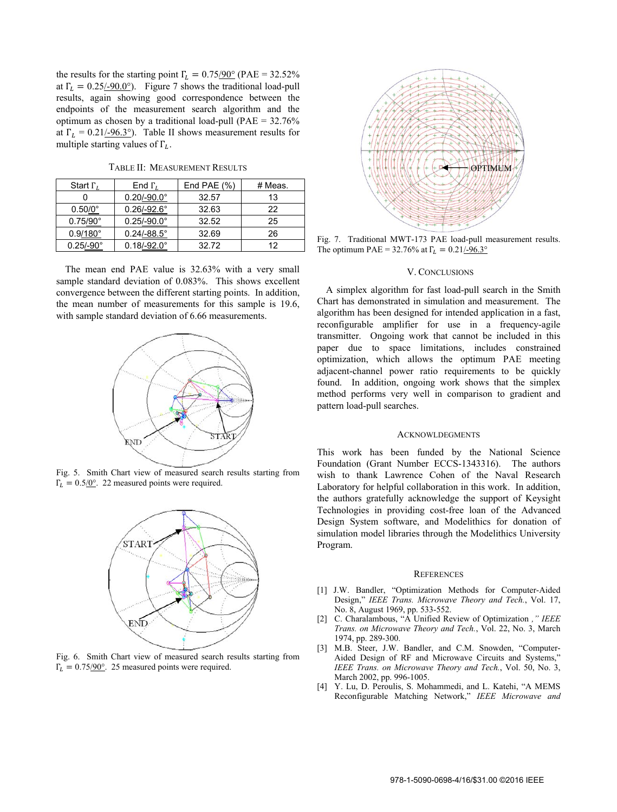the results for the starting point  $\Gamma_L = 0.75/90^\circ$  (PAE = 32.52%) at  $\Gamma_L = 0.25/-90.0^{\circ}$ . Figure 7 shows the traditional load-pull results, again showing good correspondence between the endpoints of the measurement search algorithm and the optimum as chosen by a traditional load-pull (PAE = 32.76% at  $\Gamma_L = 0.21/0.3^{\circ}$ . Table II shows measurement results for multiple starting values of  $\Gamma_l$ .

| Start $\Gamma_L$   | End $\Gamma_L$         | End PAE $(\%)$ | # Meas. |
|--------------------|------------------------|----------------|---------|
|                    | $0.20/-90.0^{\circ}$   | 32.57          | 13      |
| $0.50/0^{\circ}$   | $0.26/-92.6^{\circ}$   | 32.63          | 22      |
| $0.75/90^{\circ}$  | $0.25/-90.0^{\circ}$   | 32.52          | 25      |
| $0.9/180^{\circ}$  | $0.24/ - 88.5^{\circ}$ | 32.69          | 26      |
| $0.25/-90^{\circ}$ | $0.18/-92.0^{\circ}$   | 32.72          | 12      |

The mean end PAE value is 32.63% with a very small sample standard deviation of 0.083%. This shows excellent convergence between the different starting points. In addition, the mean number of measurements for this sample is 19.6, with sample standard deviation of 6.66 measurements.



Fig. 5. Smith Chart view of measured search results starting from  $\Gamma_L = 0.5/0$ °. 22 measured points were required.



Fig. 6. Smith Chart view of measured search results starting from  $\Gamma_L = 0.75/90^\circ$ . 25 measured points were required.



Fig. 7. Traditional MWT-173 PAE load-pull measurement results. The optimum PAE = 32.76% at  $\Gamma_L = 0.21/10.3^\circ$ 

## V. CONCLUSIONS

A simplex algorithm for fast load-pull search in the Smith Chart has demonstrated in simulation and measurement. The algorithm has been designed for intended application in a fast, reconfigurable amplifier for use in a frequency-agile transmitter. Ongoing work that cannot be included in this paper due to space limitations, includes constrained optimization, which allows the optimum PAE meeting adjacent-channel power ratio requirements to be quickly found. In addition, ongoing work shows that the simplex method performs very well in comparison to gradient and pattern load-pull searches.

## **ACKNOWLDEGMENTS**

This work has been funded by the National Science Foundation (Grant Number ECCS-1343316). The authors wish to thank Lawrence Cohen of the Naval Research Laboratory for helpful collaboration in this work. In addition, the authors gratefully acknowledge the support of Keysight Technologies in providing cost-free loan of the Advanced Design System software, and Modelithics for donation of simulation model libraries through the Modelithics University Program.

#### **REFERENCES**

- [1] J.W. Bandler, "Optimization Methods for Computer-Aided Design," *IEEE Trans. Microwave Theory and Tech.*, Vol. 17, No. 8, August 1969, pp. 533-552.
- [2] C. Charalambous, "A Unified Review of Optimization *," IEEE Trans. on Microwave Theory and Tech.*, Vol. 22, No. 3, March 1974, pp. 289-300.
- [3] M.B. Steer, J.W. Bandler, and C.M. Snowden, "Computer-Aided Design of RF and Microwave Circuits and Systems,' *IEEE Trans. on Microwave Theory and Tech.*, Vol. 50, No. 3, March 2002, pp. 996-1005.
- [4] Y. Lu, D. Peroulis, S. Mohammedi, and L. Katehi, "A MEMS Reconfigurable Matching Network," *IEEE Microwave and*